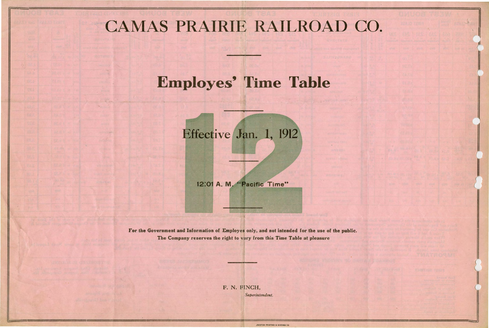## CAMAS PRAIRIE RAILROAD CO.

## **Employes' Time Table**



For the Government and Information of Employes only, and not intended for the use of the public. The Company reserves the right to vary from this Time Table at pleasure

> F. N. FINCH, Superintendent.